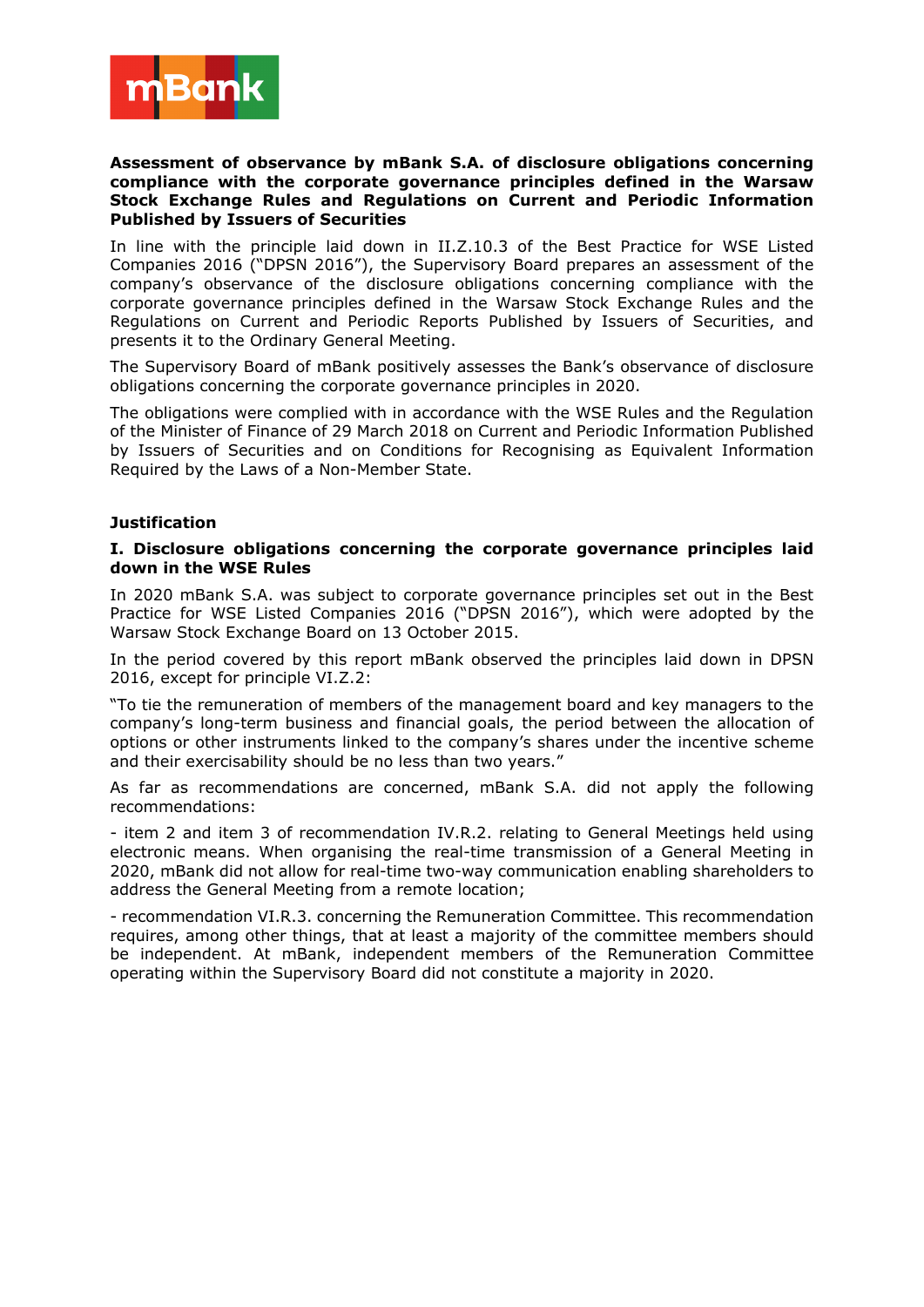

## **Assessment of observance by mBank S.A. of disclosure obligations concerning compliance with the corporate governance principles defined in the Warsaw Stock Exchange Rules and Regulations on Current and Periodic Information Published by Issuers of Securities**

In line with the principle laid down in II.Z.10.3 of the Best Practice for WSE Listed Companies 2016 ("DPSN 2016"), the Supervisory Board prepares an assessment of the company's observance of the disclosure obligations concerning compliance with the corporate governance principles defined in the Warsaw Stock Exchange Rules and the Regulations on Current and Periodic Reports Published by Issuers of Securities, and presents it to the Ordinary General Meeting.

The Supervisory Board of mBank positively assesses the Bank's observance of disclosure obligations concerning the corporate governance principles in 2020.

The obligations were complied with in accordance with the WSE Rules and the Regulation of the Minister of Finance of 29 March 2018 on Current and Periodic Information Published by Issuers of Securities and on Conditions for Recognising as Equivalent Information Required by the Laws of a Non-Member State.

## **Justification**

## **I. Disclosure obligations concerning the corporate governance principles laid down in the WSE Rules**

In 2020 mBank S.A. was subject to corporate governance principles set out in the Best Practice for WSE Listed Companies 2016 ("DPSN 2016"), which were adopted by the Warsaw Stock Exchange Board on 13 October 2015.

In the period covered by this report mBank observed the principles laid down in DPSN 2016, except for principle VI.Z.2:

"To tie the remuneration of members of the management board and key managers to the company's long-term business and financial goals, the period between the allocation of options or other instruments linked to the company's shares under the incentive scheme and their exercisability should be no less than two years."

As far as recommendations are concerned, mBank S.A. did not apply the following recommendations:

- item 2 and item 3 of recommendation IV.R.2. relating to General Meetings held using electronic means. When organising the real-time transmission of a General Meeting in 2020, mBank did not allow for real-time two-way communication enabling shareholders to address the General Meeting from a remote location;

- recommendation VI.R.3. concerning the Remuneration Committee. This recommendation requires, among other things, that at least a majority of the committee members should be independent. At mBank, independent members of the Remuneration Committee operating within the Supervisory Board did not constitute a majority in 2020.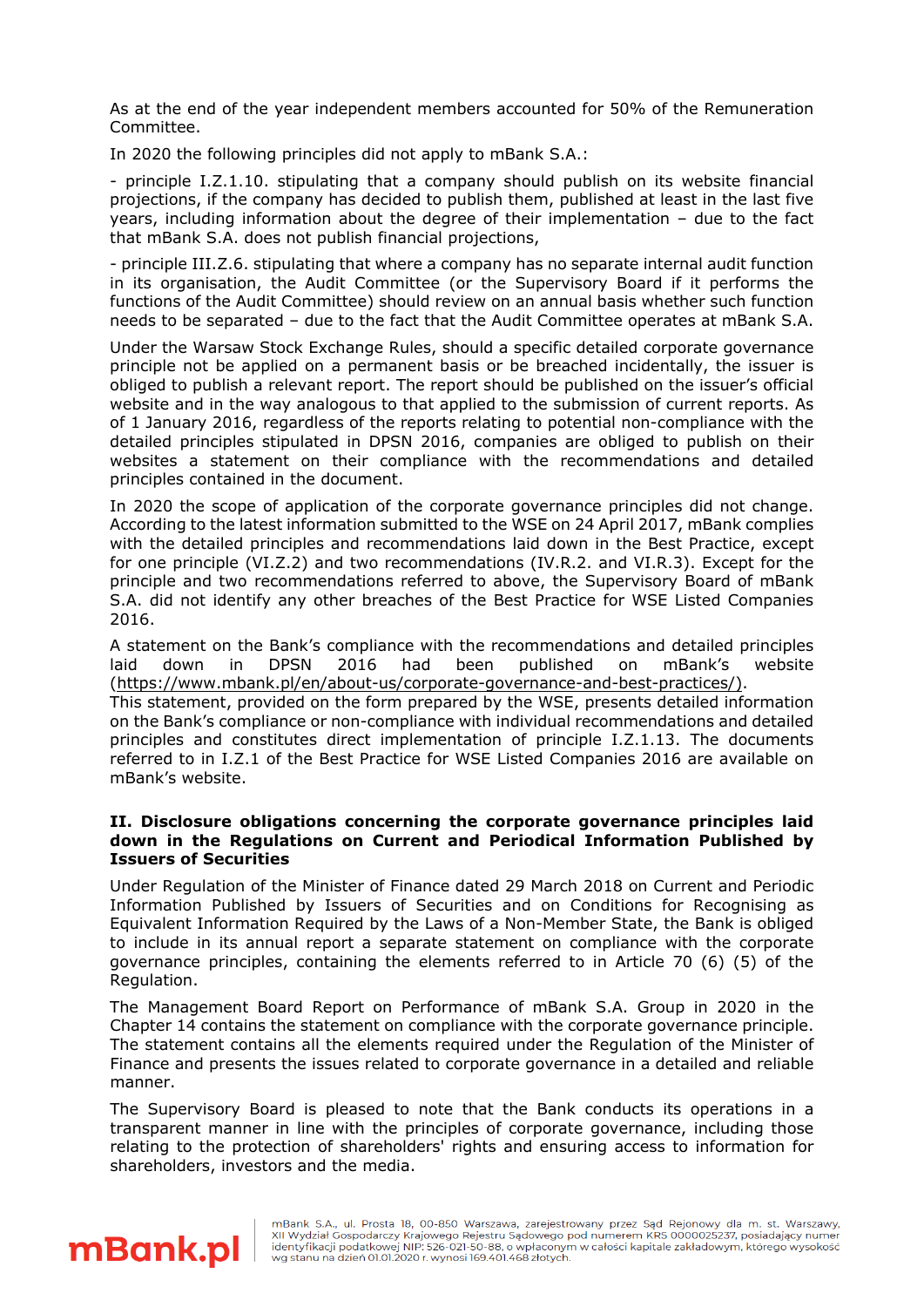As at the end of the year independent members accounted for 50% of the Remuneration Committee.

In 2020 the following principles did not apply to mBank S.A.:

- principle I.Z.1.10. stipulating that a company should publish on its website financial projections, if the company has decided to publish them, published at least in the last five years, including information about the degree of their implementation – due to the fact that mBank S.A. does not publish financial projections,

- principle III.Z.6. stipulating that where a company has no separate internal audit function in its organisation, the Audit Committee (or the Supervisory Board if it performs the functions of the Audit Committee) should review on an annual basis whether such function needs to be separated – due to the fact that the Audit Committee operates at mBank S.A.

Under the Warsaw Stock Exchange Rules, should a specific detailed corporate governance principle not be applied on a permanent basis or be breached incidentally, the issuer is obliged to publish a relevant report. The report should be published on the issuer's official website and in the way analogous to that applied to the submission of current reports. As of 1 January 2016, regardless of the reports relating to potential non-compliance with the detailed principles stipulated in DPSN 2016, companies are obliged to publish on their websites a statement on their compliance with the recommendations and detailed principles contained in the document.

In 2020 the scope of application of the corporate governance principles did not change. According to the latest information submitted to the WSE on 24 April 2017, mBank complies with the detailed principles and recommendations laid down in the Best Practice, except for one principle (VI.Z.2) and two recommendations (IV.R.2. and VI.R.3). Except for the principle and two recommendations referred to above, the Supervisory Board of mBank S.A. did not identify any other breaches of the Best Practice for WSE Listed Companies 2016.

A statement on the Bank's compliance with the recommendations and detailed principles laid down in DPSN 2016 had been published on mBank's website [\(https://www.mbank.pl/en/about-us/corporate-governance-and-best-practices/\)](https://www.mbank.pl/en/about-us/corporate-governance-and-best-practices/).

This statement, provided on the form prepared by the WSE, presents detailed information on the Bank's compliance or non-compliance with individual recommendations and detailed principles and constitutes direct implementation of principle I.Z.1.13. The documents referred to in I.Z.1 of the Best Practice for WSE Listed Companies 2016 are available on mBank's website.

## **II. Disclosure obligations concerning the corporate governance principles laid down in the Regulations on Current and Periodical Information Published by Issuers of Securities**

Under Regulation of the Minister of Finance dated 29 March 2018 on Current and Periodic Information Published by Issuers of Securities and on Conditions for Recognising as Equivalent Information Required by the Laws of a Non-Member State, the Bank is obliged to include in its annual report a separate statement on compliance with the corporate governance principles, containing the elements referred to in Article 70 (6) (5) of the Regulation.

The Management Board Report on Performance of mBank S.A. Group in 2020 in the Chapter 14 contains the statement on compliance with the corporate governance principle. The statement contains all the elements required under the Regulation of the Minister of Finance and presents the issues related to corporate governance in a detailed and reliable manner.

The Supervisory Board is pleased to note that the Bank conducts its operations in a transparent manner in line with the principles of corporate governance, including those relating to the protection of shareholders' rights and ensuring access to information for shareholders, investors and the media.